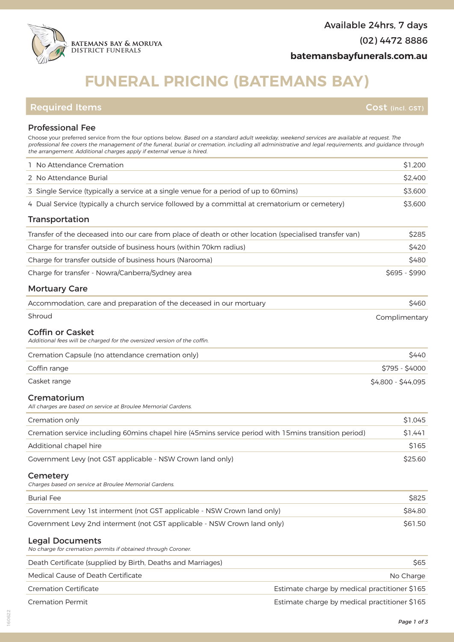# **FUNERAL PRICING (BATEMANS BAY)**

Professional Fee Choose your preferred service from the four options below. Based on a standard adult weekday, weekend services are available at request. The professional fee covers the management of the funeral, burial or cremation, including all administrative and legal requirements, and guidance through the arrangement. Additional charges apply if external venue is hired.

| 1 No Attendance Cremation                                                                               |                                               | \$1,200            |
|---------------------------------------------------------------------------------------------------------|-----------------------------------------------|--------------------|
| 2 No Attendance Burial                                                                                  |                                               | \$2,400            |
| 3 Single Service (typically a service at a single venue for a period of up to 60mins)                   |                                               | \$3,600            |
| 4 Dual Service (typically a church service followed by a committal at crematorium or cemetery)          |                                               | \$3,600            |
| Transportation                                                                                          |                                               |                    |
| Transfer of the deceased into our care from place of death or other location (specialised transfer van) |                                               | \$285              |
| Charge for transfer outside of business hours (within 70km radius)                                      |                                               | \$420              |
| Charge for transfer outside of business hours (Narooma)                                                 |                                               | \$480              |
| Charge for transfer - Nowra/Canberra/Sydney area                                                        |                                               | $$695 - $990$      |
| <b>Mortuary Care</b>                                                                                    |                                               |                    |
| Accommodation, care and preparation of the deceased in our mortuary                                     |                                               | \$460              |
| Shroud                                                                                                  |                                               | Complimentary      |
| <b>Coffin or Casket</b><br>Additional fees will be charged for the oversized version of the coffin.     |                                               |                    |
| Cremation Capsule (no attendance cremation only)                                                        |                                               | \$440              |
| Coffin range                                                                                            |                                               | $$795 - $4000$     |
| Casket range                                                                                            |                                               | \$4,800 - \$44,095 |
| Crematorium<br>All charges are based on service at Broulee Memorial Gardens.                            |                                               |                    |
| Cremation only                                                                                          |                                               | \$1,045            |
| Cremation service including 60mins chapel hire (45mins service period with 15mins transition period)    |                                               | \$1,441            |
| Additional chapel hire                                                                                  |                                               | \$165              |
| Government Levy (not GST applicable - NSW Crown land only)                                              |                                               | \$25.60            |
| Cemetery<br>Charges based on service at Broulee Memorial Gardens.                                       |                                               |                    |
| <b>Burial Fee</b>                                                                                       |                                               | \$825              |
| Government Levy 1st interment (not GST applicable - NSW Crown land only)                                |                                               | \$84.80            |
| Government Levy 2nd interment (not GST applicable - NSW Crown land only)                                |                                               | \$61.50            |
| <b>Legal Documents</b><br>No charge for cremation permits if obtained through Coroner.                  |                                               |                    |
| Death Certificate (supplied by Birth, Deaths and Marriages)                                             |                                               | \$65               |
| Medical Cause of Death Certificate                                                                      |                                               | No Charge          |
| <b>Cremation Certificate</b><br>Estimate charge by medical practitioner \$165                           |                                               |                    |
| <b>Cremation Permit</b>                                                                                 | Estimate charge by medical practitioner \$165 |                    |



160622

**Required Items Cost (incl. GST)**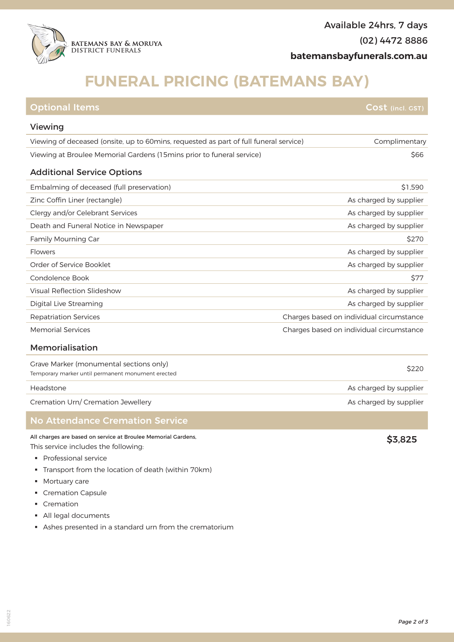

### **FUNERAL PRICING (BATEMANS BAY)**

| <b>Optional Items</b>                                                                        | Cost (incl. GST)                         |  |
|----------------------------------------------------------------------------------------------|------------------------------------------|--|
| Viewing                                                                                      |                                          |  |
| Viewing of deceased (onsite, up to 60 mins, requested as part of full funeral service)       | Complimentary                            |  |
| Viewing at Broulee Memorial Gardens (15mins prior to funeral service)                        | \$66                                     |  |
| <b>Additional Service Options</b>                                                            |                                          |  |
| Embalming of deceased (full preservation)                                                    | \$1,590                                  |  |
| Zinc Coffin Liner (rectangle)                                                                | As charged by supplier                   |  |
| Clergy and/or Celebrant Services                                                             | As charged by supplier                   |  |
| Death and Funeral Notice in Newspaper                                                        | As charged by supplier                   |  |
| <b>Family Mourning Car</b>                                                                   | \$270                                    |  |
| Flowers                                                                                      | As charged by supplier                   |  |
| Order of Service Booklet                                                                     | As charged by supplier                   |  |
| Condolence Book                                                                              | \$77                                     |  |
| Visual Reflection Slideshow                                                                  | As charged by supplier                   |  |
| Digital Live Streaming                                                                       | As charged by supplier                   |  |
| <b>Repatriation Services</b>                                                                 | Charges based on individual circumstance |  |
| <b>Memorial Services</b>                                                                     | Charges based on individual circumstance |  |
| Memorialisation                                                                              |                                          |  |
| Grave Marker (monumental sections only)<br>Temporary marker until permanent monument erected | \$220                                    |  |

Headstone **As charged by supplier** Headstone As charged by supplier

Cremation Urn/ Cremation Jewellery **As charged by supplier** Cremation Urn/ Cremation Jewellery **As charged by supplier** 

#### No Attendance Cremation Service

All charges are based on service at Broulee Memorial Gardens, This service includes the following:

- § Professional service
- § Transport from the location of death (within 70km)
- § Mortuary care
- § Cremation Capsule
- § Cremation
- § All legal documents
- § Ashes presented in a standard urn from the crematorium

\$3,825